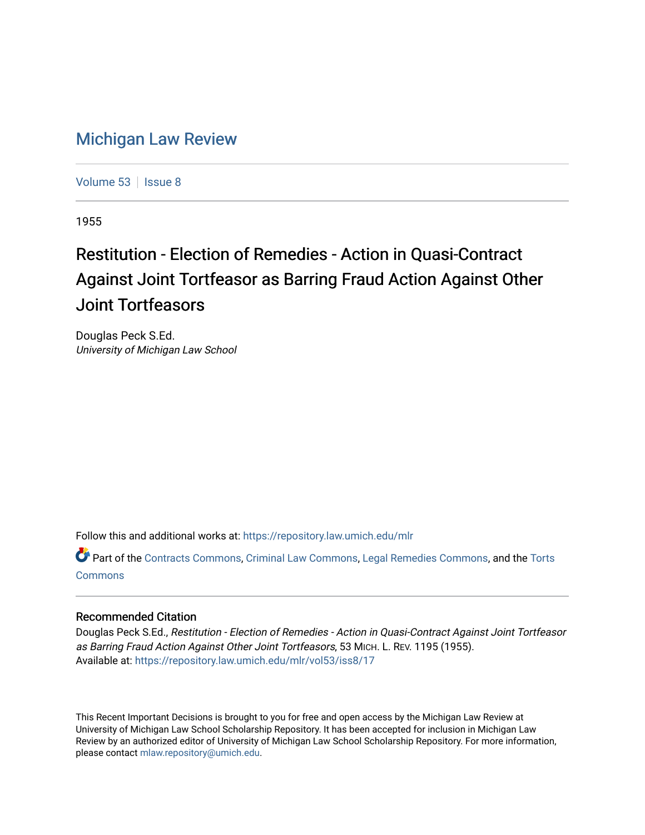## [Michigan Law Review](https://repository.law.umich.edu/mlr)

[Volume 53](https://repository.law.umich.edu/mlr/vol53) | [Issue 8](https://repository.law.umich.edu/mlr/vol53/iss8)

1955

## Restitution - Election of Remedies - Action in Quasi-Contract Against Joint Tortfeasor as Barring Fraud Action Against Other Joint Tortfeasors

Douglas Peck S.Ed. University of Michigan Law School

Follow this and additional works at: [https://repository.law.umich.edu/mlr](https://repository.law.umich.edu/mlr?utm_source=repository.law.umich.edu%2Fmlr%2Fvol53%2Fiss8%2F17&utm_medium=PDF&utm_campaign=PDFCoverPages) 

Part of the [Contracts Commons](http://network.bepress.com/hgg/discipline/591?utm_source=repository.law.umich.edu%2Fmlr%2Fvol53%2Fiss8%2F17&utm_medium=PDF&utm_campaign=PDFCoverPages), [Criminal Law Commons,](http://network.bepress.com/hgg/discipline/912?utm_source=repository.law.umich.edu%2Fmlr%2Fvol53%2Fiss8%2F17&utm_medium=PDF&utm_campaign=PDFCoverPages) [Legal Remedies Commons,](http://network.bepress.com/hgg/discipline/618?utm_source=repository.law.umich.edu%2Fmlr%2Fvol53%2Fiss8%2F17&utm_medium=PDF&utm_campaign=PDFCoverPages) and the [Torts](http://network.bepress.com/hgg/discipline/913?utm_source=repository.law.umich.edu%2Fmlr%2Fvol53%2Fiss8%2F17&utm_medium=PDF&utm_campaign=PDFCoverPages)  **[Commons](http://network.bepress.com/hgg/discipline/913?utm_source=repository.law.umich.edu%2Fmlr%2Fvol53%2Fiss8%2F17&utm_medium=PDF&utm_campaign=PDFCoverPages)** 

## Recommended Citation

Douglas Peck S.Ed., Restitution - Election of Remedies - Action in Quasi-Contract Against Joint Tortfeasor as Barring Fraud Action Against Other Joint Tortfeasors, 53 MICH. L. REV. 1195 (1955). Available at: [https://repository.law.umich.edu/mlr/vol53/iss8/17](https://repository.law.umich.edu/mlr/vol53/iss8/17?utm_source=repository.law.umich.edu%2Fmlr%2Fvol53%2Fiss8%2F17&utm_medium=PDF&utm_campaign=PDFCoverPages) 

This Recent Important Decisions is brought to you for free and open access by the Michigan Law Review at University of Michigan Law School Scholarship Repository. It has been accepted for inclusion in Michigan Law Review by an authorized editor of University of Michigan Law School Scholarship Repository. For more information, please contact [mlaw.repository@umich.edu.](mailto:mlaw.repository@umich.edu)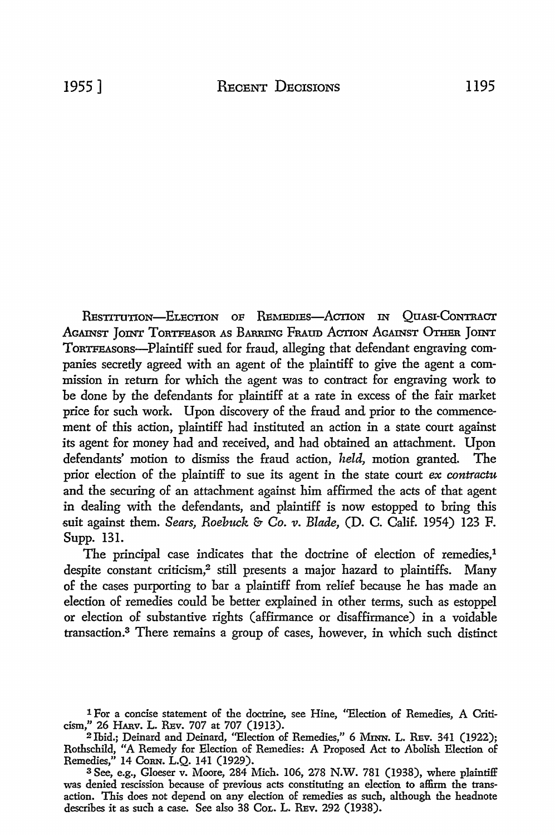RESTITUTION-ELECTION OF REMEDIES-ACTION IN QUASI-CONTRACT AGAINST JOINT TORTFEASOR AS BARRING FRAUD ACTION AGAINST OTHER JOINT ToRTFEASORs-Plaintiff sued for fraud, alleging that defendant engraving companies secretly agreed with an agent of the plaintiff to give the agent a commission in return for which the agent was to contract for engraving work to be done by the defendants for plaintiff at a rate in excess of the fair market price for such work. Upon discovery of the fraud and prior to the commencement of this action, plaintiff had instituted an action in a state court against its agent for money had and received, and had obtained an attachment. Upon defendants' motion to dismiss the fraud action, *held,* motion granted. The prior election of the plaintiff to sue its agent in the state court *ex contractu*  and the securing of an attachment against him affirmed the acts of that agent in dealing with the defendants, and plaintiff is now estopped to bring this suit against them. *Sears, Roebuck* & *Co. v. Blade,* (D. C. Calif. 1954) 123 F. Supp. 131.

The principal case indicates that the doctrine of election of remedies,<sup>1</sup> despite constant criticism,<sup>2</sup> still presents a major hazard to plaintiffs. Many of the cases purporting to bar a plaintiff from relief because he has made an election of remedies could be better explained in other terms, such as estoppel or election of substantive rights (afflrmance or disaffirmance) in a voidable transaction.3 There remains a group of cases, however, in which such distinct

<sup>1</sup> For a concise statement of the doctrine, see Hine, "Election of Remedies, A Criticism," 26 HARV. L. REv. 707 at 707 (1913).

<sup>2</sup>Ibid.; Deinard and Deinard, "Election of Remedies," 6 MINN. L. REv. 341 (1922); Rothschild, "A Remedy for Election of Remedies: A Proposed Act to Abolish Election of Remedies," 14 CoRN. L.Q. 141 (1929).

<sup>3</sup>See, e.g., Gloeser v. Moore, 284 Mich. 106, 278 N.W. 781 (1938), where plaintiff was denied rescission because of previous acts constituting an election to affirm the transaction. This does not depend on any election of remedies as such, although the headnote describes it as such a case. See also 38 CoL. L. REv. 292 (1938).